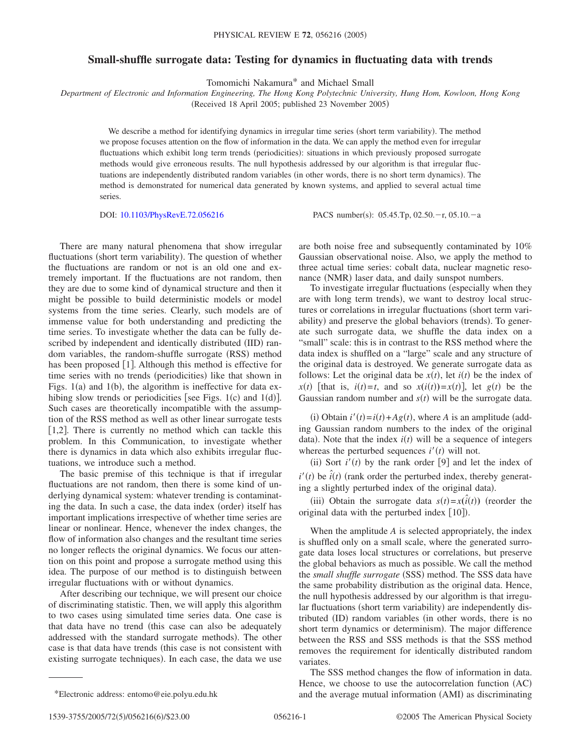## **Small-shuffle surrogate data: Testing for dynamics in fluctuating data with trends**

Tomomichi Nakamura\* and Michael Small

*Department of Electronic and Information Engineering, The Hong Kong Polytechnic University, Hung Hom, Kowloon, Hong Kong*

(Received 18 April 2005; published 23 November 2005)

We describe a method for identifying dynamics in irregular time series (short term variability). The method we propose focuses attention on the flow of information in the data. We can apply the method even for irregular fluctuations which exhibit long term trends (periodicities): situations in which previously proposed surrogate methods would give erroneous results. The null hypothesis addressed by our algorithm is that irregular fluctuations are independently distributed random variables (in other words, there is no short term dynamics). The method is demonstrated for numerical data generated by known systems, and applied to several actual time series.

DOI: [10.1103/PhysRevE.72.056216](http://dx.doi.org/10.1103/PhysRevE.72.056216)

PACS number(s):  $05.45$ .Tp,  $02.50$ .-r,  $05.10$ .-a

There are many natural phenomena that show irregular fluctuations (short term variability). The question of whether the fluctuations are random or not is an old one and extremely important. If the fluctuations are not random, then they are due to some kind of dynamical structure and then it might be possible to build deterministic models or model systems from the time series. Clearly, such models are of immense value for both understanding and predicting the time series. To investigate whether the data can be fully described by independent and identically distributed (IID) random variables, the random-shuffle surrogate (RSS) method has been proposed  $[1]$ . Although this method is effective for time series with no trends (periodicities) like that shown in Figs.  $1(a)$  and  $1(b)$ , the algorithm is ineffective for data exhibing slow trends or periodicities [see Figs.  $1(c)$  and  $1(d)$ ]. Such cases are theoretically incompatible with the assumption of the RSS method as well as other linear surrogate tests [1,2]. There is currently no method which can tackle this problem. In this Communication, to investigate whether there is dynamics in data which also exhibits irregular fluctuations, we introduce such a method.

The basic premise of this technique is that if irregular fluctuations are not random, then there is some kind of underlying dynamical system: whatever trending is contaminating the data. In such a case, the data index (order) itself has important implications irrespective of whether time series are linear or nonlinear. Hence, whenever the index changes, the flow of information also changes and the resultant time series no longer reflects the original dynamics. We focus our attention on this point and propose a surrogate method using this idea. The purpose of our method is to distinguish between irregular fluctuations with or without dynamics.

After describing our technique, we will present our choice of discriminating statistic. Then, we will apply this algorithm to two cases using simulated time series data. One case is that data have no trend (this case can also be adequately addressed with the standard surrogate methods). The other case is that data have trends (this case is not consistent with existing surrogate techniques). In each case, the data we use

are both noise free and subsequently contaminated by 10% Gaussian observational noise. Also, we apply the method to three actual time series: cobalt data, nuclear magnetic resonance (NMR) laser data, and daily sunspot numbers.

To investigate irregular fluctuations (especially when they are with long term trends), we want to destroy local structures or correlations in irregular fluctuations (short term variability) and preserve the global behaviors (trends). To generate such surrogate data, we shuffle the data index on a "small" scale: this is in contrast to the RSS method where the data index is shuffled on a "large" scale and any structure of the original data is destroyed. We generate surrogate data as follows: Let the original data be  $x(t)$ , let  $i(t)$  be the index of  $x(t)$  [that is,  $i(t)=t$ , and so  $x(i(t))=x(t)$ ], let  $g(t)$  be the Gaussian random number and  $s(t)$  will be the surrogate data.

(i) Obtain  $i'(t) = i(t) + Ag(t)$ , where *A* is an amplitude (adding Gaussian random numbers to the index of the original data). Note that the index  $i(t)$  will be a sequence of integers whereas the perturbed sequences  $i'(t)$  will not.

(ii) Sort  $i'(t)$  by the rank order [9] and let the index of  $i'(t)$  be  $\hat{i}(t)$  (rank order the perturbed index, thereby generating a slightly perturbed index of the original data).

(iii) Obtain the surrogate data  $s(t) = x(\hat{i}(t))$  (reorder the original data with the perturbed index [10]).

When the amplitude *A* is selected appropriately, the index is shuffled only on a small scale, where the generated surrogate data loses local structures or correlations, but preserve the global behaviors as much as possible. We call the method the small shuffle surrogate (SSS) method. The SSS data have the same probability distribution as the original data. Hence, the null hypothesis addressed by our algorithm is that irregular fluctuations (short term variability) are independently distributed (ID) random variables (in other words, there is no short term dynamics or determinism). The major difference between the RSS and SSS methods is that the SSS method removes the requirement for identically distributed random variates.

The SSS method changes the flow of information in data. Hence, we choose to use the autocorrelation function (AC) \*Electronic address: entomo@eie.polyu.edu.hk and the average mutual information (AMI) as discriminating

<sup>1539-3755/2005/72(5)/056216(6)</sup>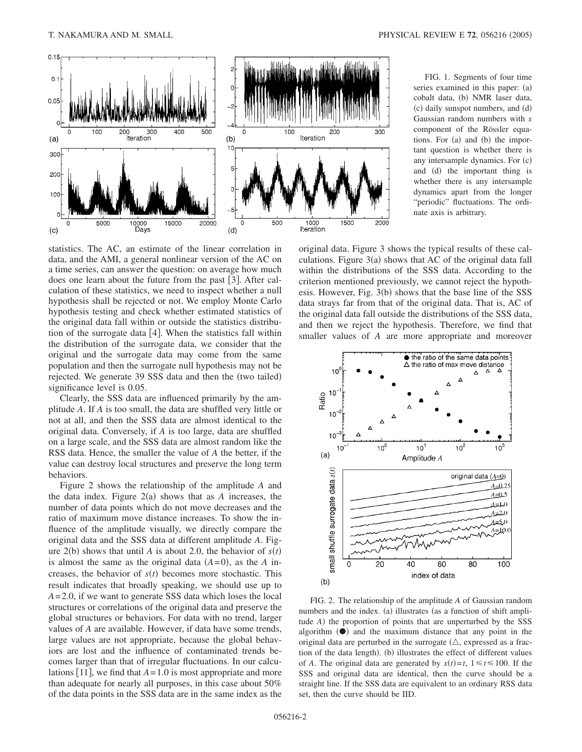

FIG. 1. Segments of four time series examined in this paper: (a) cobalt data, (b) NMR laser data, (c) daily sunspot numbers, and (d) Gaussian random numbers with *x* component of the Rössler equations. For (a) and (b) the important question is whether there is any intersample dynamics. For (c) and (d) the important thing is whether there is any intersample dynamics apart from the longer "periodic" fluctuations. The ordinate axis is arbitrary.

statistics. The AC, an estimate of the linear correlation in data, and the AMI, a general nonlinear version of the AC on a time series, can answer the question: on average how much does one learn about the future from the past [3]. After calculation of these statistics, we need to inspect whether a null hypothesis shall be rejected or not. We employ Monte Carlo hypothesis testing and check whether estimated statistics of the original data fall within or outside the statistics distribution of the surrogate data  $[4]$ . When the statistics fall within the distribution of the surrogate data, we consider that the original and the surrogate data may come from the same population and then the surrogate null hypothesis may not be rejected. We generate 39 SSS data and then the (two tailed) significance level is 0.05.

Clearly, the SSS data are influenced primarily by the amplitude *A*. If *A* is too small, the data are shuffled very little or not at all, and then the SSS data are almost identical to the original data. Conversely, if *A* is too large, data are shuffled on a large scale, and the SSS data are almost random like the RSS data. Hence, the smaller the value of *A* the better, if the value can destroy local structures and preserve the long term behaviors.

Figure 2 shows the relationship of the amplitude *A* and the data index. Figure  $2(a)$  shows that as  $A$  increases, the number of data points which do not move decreases and the ratio of maximum move distance increases. To show the influence of the amplitude visually, we directly compare the original data and the SSS data at different amplitude *A*. Figure 2(b) shows that until *A* is about 2.0, the behavior of  $s(t)$ is almost the same as the original data  $(A=0)$ , as the *A* increases, the behavior of  $s(t)$  becomes more stochastic. This result indicates that broadly speaking, we should use up to *A*= 2.0, if we want to generate SSS data which loses the local structures or correlations of the original data and preserve the global structures or behaviors. For data with no trend, larger values of *A* are available. However, if data have some trends, large values are not appropriate, because the global behaviors are lost and the influence of contaminated trends becomes larger than that of irregular fluctuations. In our calculations [11], we find that  $A = 1.0$  is most appropriate and more than adequate for nearly all purposes, in this case about 50% of the data points in the SSS data are in the same index as the original data. Figure 3 shows the typical results of these calculations. Figure  $3(a)$  shows that AC of the original data fall within the distributions of the SSS data. According to the criterion mentioned previously, we cannot reject the hypothesis. However, Fig.  $3(b)$  shows that the base line of the SSS data strays far from that of the original data. That is, AC of the original data fall outside the distributions of the SSS data, and then we reject the hypothesis. Therefore, we find that smaller values of *A* are more appropriate and moreover



FIG. 2. The relationship of the amplitude *A* of Gaussian random numbers and the index. (a) illustrates (as a function of shift amplitude *A*) the proportion of points that are unperturbed by the SSS algorithm  $($  $)$  and the maximum distance that any point in the original data are perturbed in the surrogate  $(\triangle)$ , expressed as a fraction of the data length). (b) illustrates the effect of different values of *A*. The original data are generated by  $x(t)=t$ ,  $1 \le t \le 100$ . If the SSS and original data are identical, then the curve should be a straight line. If the SSS data are equivalent to an ordinary RSS data set, then the curve should be IID.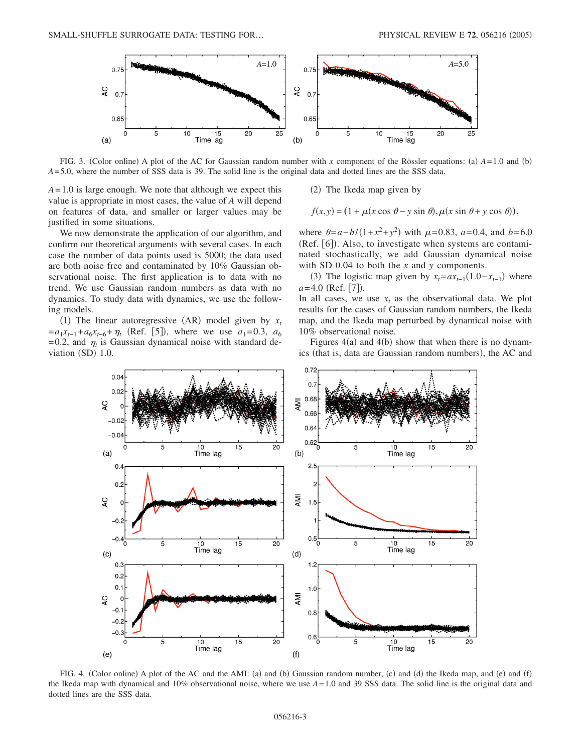

FIG. 3. (Color online) A plot of the AC for Gaussian random number with x component of the Rössler equations: (a)  $A = 1.0$  and (b) *A*= 5.0, where the number of SSS data is 39. The solid line is the original data and dotted lines are the SSS data.

*A*= 1.0 is large enough. We note that although we expect this value is appropriate in most cases, the value of *A* will depend on features of data, and smaller or larger values may be justified in some situations.

We now demonstrate the application of our algorithm, and confirm our theoretical arguments with several cases. In each case the number of data points used is 5000; the data used are both noise free and contaminated by 10% Gaussian observational noise. The first application is to data with no trend. We use Gaussian random numbers as data with no dynamics. To study data with dynamics, we use the following models.

(1) The linear autoregressive (AR) model given by  $x_t$  $=a_1x_{t-1}+a_6x_{t-6}+\eta_t$  (Ref. [5]), where we use  $a_1=0.3$ ,  $a_6$  $= 0.2$ , and  $\eta_t$  is Gaussian dynamical noise with standard deviation (SD) 1.0.

(2) The Ikeda map given by

 $f(x,y) = (1 + \mu(x \cos \theta - y \sin \theta), \mu(x \sin \theta + y \cos \theta)),$ 

where  $\theta = a - b / (1 + x^2 + y^2)$  with  $\mu = 0.83$ ,  $a = 0.4$ , and  $b = 6.0$ (Ref. [6]). Also, to investigate when systems are contaminated stochastically, we add Gaussian dynamical noise with SD 0.04 to both the *x* and *y* components.

(3) The logistic map given by  $x_t = ax_{t-1}(1.0 - x_{t-1})$  where *a*=4.0 (Ref. [7]).

In all cases, we use  $x_t$  as the observational data. We plot results for the cases of Gaussian random numbers, the Ikeda map, and the Ikeda map perturbed by dynamical noise with 10% observational noise.

Figures  $4(a)$  and  $4(b)$  show that when there is no dynamics (that is, data are Gaussian random numbers), the AC and



FIG. 4. (Color online) A plot of the AC and the AMI: (a) and (b) Gaussian random number, (c) and (d) the Ikeda map, and (e) and (f) the Ikeda map with dynamical and 10% observational noise, where we use *A*= 1.0 and 39 SSS data. The solid line is the original data and dotted lines are the SSS data.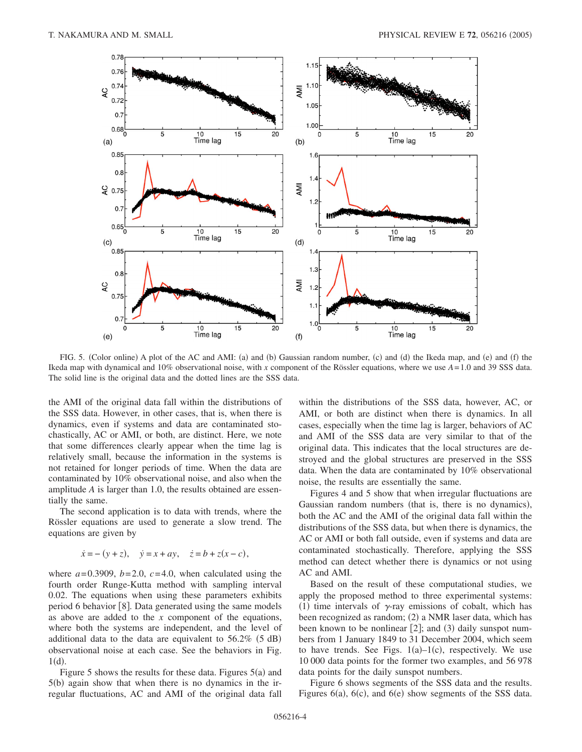

FIG. 5. (Color online) A plot of the AC and AMI: (a) and (b) Gaussian random number, (c) and (d) the Ikeda map, and (e) and (f) the Ikeda map with dynamical and 10% observational noise, with *x* component of the Rössler equations, where we use *A*= 1.0 and 39 SSS data. The solid line is the original data and the dotted lines are the SSS data.

the AMI of the original data fall within the distributions of the SSS data. However, in other cases, that is, when there is dynamics, even if systems and data are contaminated stochastically, AC or AMI, or both, are distinct. Here, we note that some differences clearly appear when the time lag is relatively small, because the information in the systems is not retained for longer periods of time. When the data are contaminated by 10% observational noise, and also when the amplitude *A* is larger than 1.0, the results obtained are essentially the same.

The second application is to data with trends, where the Rössler equations are used to generate a slow trend. The equations are given by

$$
\dot{x} = -(y+z), \quad \dot{y} = x + ay, \quad \dot{z} = b + z(x-c),
$$

where  $a = 0.3909$ ,  $b = 2.0$ ,  $c = 4.0$ , when calculated using the fourth order Runge-Kutta method with sampling interval 0.02. The equations when using these parameters exhibits period 6 behavior  $[8]$ . Data generated using the same models as above are added to the *x* component of the equations, where both the systems are independent, and the level of additional data to the data are equivalent to  $56.2\%$  (5 dB) observational noise at each case. See the behaviors in Fig.  $1(d)$ .

Figure 5 shows the results for these data. Figures  $5(a)$  and 5(b) again show that when there is no dynamics in the irregular fluctuations, AC and AMI of the original data fall within the distributions of the SSS data, however, AC, or AMI, or both are distinct when there is dynamics. In all cases, especially when the time lag is larger, behaviors of AC and AMI of the SSS data are very similar to that of the original data. This indicates that the local structures are destroyed and the global structures are preserved in the SSS data. When the data are contaminated by 10% observational noise, the results are essentially the same.

Figures 4 and 5 show that when irregular fluctuations are Gaussian random numbers (that is, there is no dynamics), both the AC and the AMI of the original data fall within the distributions of the SSS data, but when there is dynamics, the AC or AMI or both fall outside, even if systems and data are contaminated stochastically. Therefore, applying the SSS method can detect whether there is dynamics or not using AC and AMI.

Based on the result of these computational studies, we apply the proposed method to three experimental systems: (1) time intervals of  $\gamma$ -ray emissions of cobalt, which has been recognized as random; (2) a NMR laser data, which has been known to be nonlinear  $[2]$ ; and  $(3)$  daily sunspot numbers from 1 January 1849 to 31 December 2004, which seem to have trends. See Figs.  $1(a)-1(c)$ , respectively. We use 10 000 data points for the former two examples, and 56 978 data points for the daily sunspot numbers.

Figure 6 shows segments of the SSS data and the results. Figures  $6(a)$ ,  $6(c)$ , and  $6(e)$  show segments of the SSS data.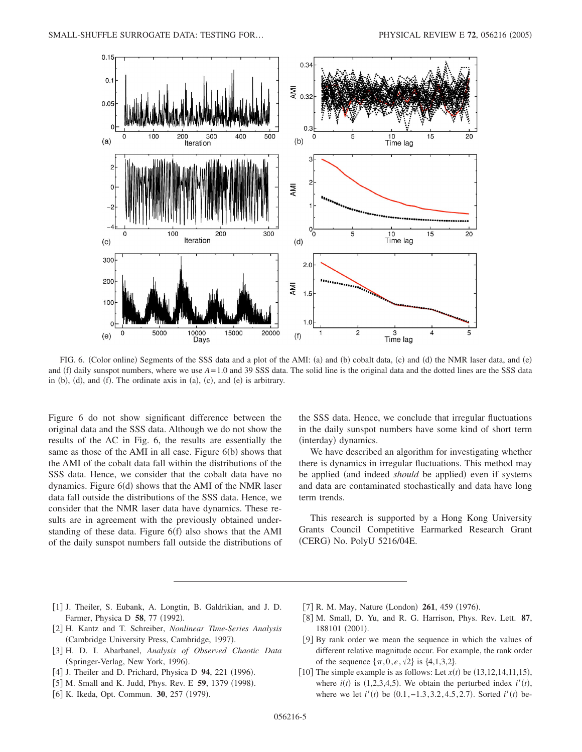

FIG. 6. (Color online) Segments of the SSS data and a plot of the AMI: (a) and (b) cobalt data, (c) and (d) the NMR laser data, and (e) and (f) daily sunspot numbers, where we use  $A = 1.0$  and 39 SSS data. The solid line is the original data and the dotted lines are the SSS data in (b), (d), and (f). The ordinate axis in (a), (c), and (e) is arbitrary.

Figure 6 do not show significant difference between the original data and the SSS data. Although we do not show the results of the AC in Fig. 6, the results are essentially the same as those of the AMI in all case. Figure 6(b) shows that the AMI of the cobalt data fall within the distributions of the SSS data. Hence, we consider that the cobalt data have no dynamics. Figure 6(d) shows that the AMI of the NMR laser data fall outside the distributions of the SSS data. Hence, we consider that the NMR laser data have dynamics. These results are in agreement with the previously obtained understanding of these data. Figure  $6(f)$  also shows that the AMI of the daily sunspot numbers fall outside the distributions of the SSS data. Hence, we conclude that irregular fluctuations in the daily sunspot numbers have some kind of short term (interday) dynamics.

We have described an algorithm for investigating whether there is dynamics in irregular fluctuations. This method may be applied (and indeed *should* be applied) even if systems and data are contaminated stochastically and data have long term trends.

This research is supported by a Hong Kong University Grants Council Competitive Earmarked Research Grant (CERG) No. PolyU 5216/04E.

- [1] J. Theiler, S. Eubank, A. Longtin, B. Galdrikian, and J. D. Farmer, Physica D 58, 77 (1992).
- 2 H. Kantz and T. Schreiber, *Nonlinear Time-Series Analysis* (Cambridge University Press, Cambridge, 1997).
- 3 H. D. I. Abarbanel, *Analysis of Observed Chaotic Data* (Springer-Verlag, New York, 1996).
- [4] J. Theiler and D. Prichard, Physica D 94, 221 (1996).
- [5] M. Small and K. Judd, Phys. Rev. E 59, 1379 (1998).
- [6] K. Ikeda, Opt. Commun. 30, 257 (1979).
- [7] R. M. May, Nature (London) 261, 459 (1976).
- 8 M. Small, D. Yu, and R. G. Harrison, Phys. Rev. Lett. **87**, 188101 (2001).
- [9] By rank order we mean the sequence in which the values of different relative magnitude occur. For example, the rank order of the sequence  $\{\pi, 0, e, \sqrt{2}\}\$ is  $\{4, 1, 3, 2\}.$
- [10] The simple example is as follows: Let  $x(t)$  be  $(13, 12, 14, 11, 15)$ , where  $i(t)$  is (1,2,3,4,5). We obtain the perturbed index  $i'(t)$ , where we let  $i'(t)$  be  $(0.1, -1.3, 3.2, 4.5, 2.7)$ . Sorted  $i'(t)$  be-